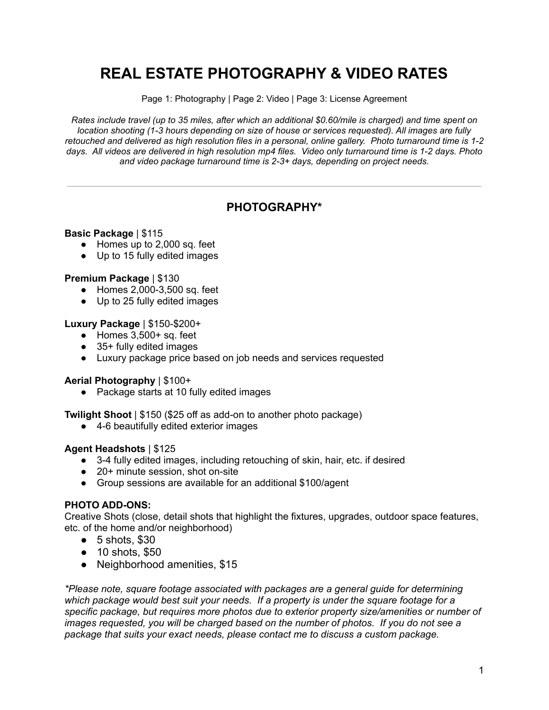# **REAL ESTATE PHOTOGRAPHY & VIDEO RATES**

Page 1: Photography | Page 2: Video | Page 3: License Agreement

Rates include travel (up to 35 miles, after which an additional \$0.60/mile is charged) and time spent on *location shooting (1-3 hours depending on size of house or services requested). All images are fully* retouched and delivered as high resolution files in a personal, online gallery. Photo turnaround time is 1-2 days. All videos are delivered in high resolution mp4 files. Video only turnaround time is 1-2 days. Photo *and video package turnaround time is 2-3+ days, depending on project needs.*

## **PHOTOGRAPHY\***

### **Basic Package** | \$115

- Homes up to 2,000 sq. feet
- Up to 15 fully edited images

### **Premium Package** | \$130

- Homes 2,000-3,500 sq. feet
- Up to 25 fully edited images

#### **Luxury Package** | \$150-\$200+

- $\bullet$  Homes 3,500+ sq. feet
- 35+ fully edited images
- Luxury package price based on job needs and services requested

### **Aerial Photography** | \$100+

● Package starts at 10 fully edited images

**Twilight Shoot** | \$150 (\$25 off as add-on to another photo package)

● 4-6 beautifully edited exterior images

#### **Agent Headshots** | \$125

- 3-4 fully edited images, including retouching of skin, hair, etc. if desired
- 20+ minute session, shot on-site
- Group sessions are available for an additional \$100/agent

### **PHOTO ADD-ONS:**

Creative Shots (close, detail shots that highlight the fixtures, upgrades, outdoor space features, etc. of the home and/or neighborhood)

- $\bullet$  5 shots, \$30
- 10 shots, \$50
- Neighborhood amenities, \$15

*\*Please note, square footage associated with packages are a general guide for determining which package would best suit your needs. If a property is under the square footage for a specific package, but requires more photos due to exterior property size/amenities or number of images requested, you will be charged based on the number of photos. If you do not see a package that suits your exact needs, please contact me to discuss a custom package.*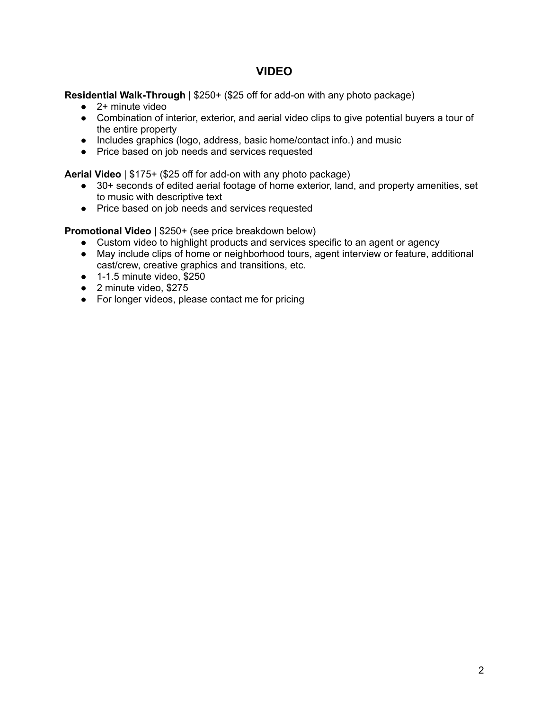## **VIDEO**

**Residential Walk-Through** | \$250+ (\$25 off for add-on with any photo package)

- 2+ minute video
- Combination of interior, exterior, and aerial video clips to give potential buyers a tour of the entire property
- Includes graphics (logo, address, basic home/contact info.) and music
- Price based on job needs and services requested

**Aerial Video** | \$175+ (\$25 off for add-on with any photo package)

- 30+ seconds of edited aerial footage of home exterior, land, and property amenities, set to music with descriptive text
- Price based on job needs and services requested

**Promotional Video** | \$250+ (see price breakdown below)

- Custom video to highlight products and services specific to an agent or agency
- May include clips of home or neighborhood tours, agent interview or feature, additional cast/crew, creative graphics and transitions, etc.
- $\bullet$  1-1.5 minute video, \$250
- 2 minute video, \$275
- For longer videos, please contact me for pricing